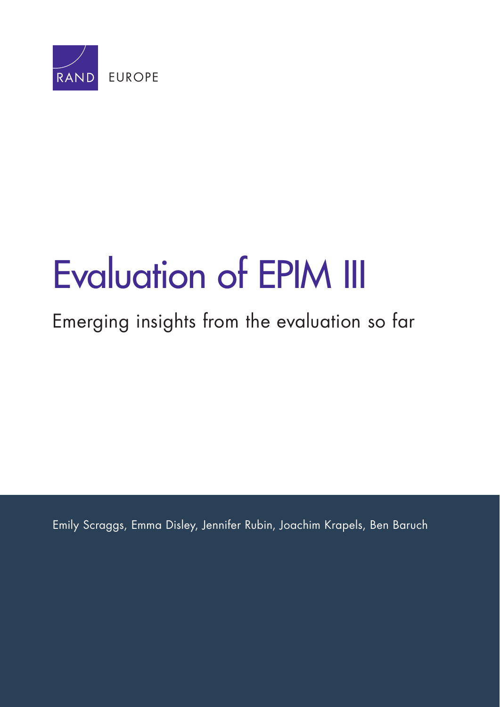

# [Evaluation of EPIM III](http://www.rand.org/pubs/research_reports/RR789.html)

# Emerging insights from the evaluation so far

Emily Scraggs, Emma Disley, Jennifer Rubin, Joachim Krapels, Ben Baruch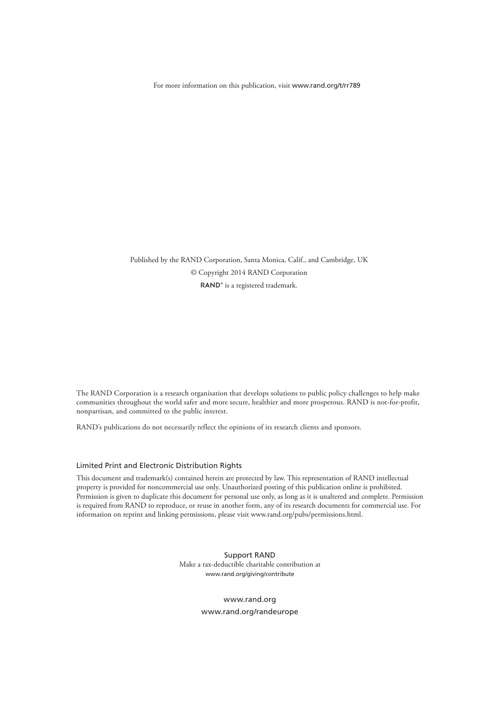For more information on this publication, visit [www.rand.org/t/rr789](http://www.rand.org/t/rr789)

Published by the RAND Corporation, Santa Monica, Calif., and Cambridge, UK © Copyright 2014 RAND Corporation RAND<sup>®</sup> is a registered trademark.

The RAND Corporation is a research organisation that develops solutions to public policy challenges to help make communities throughout the world safer and more secure, healthier and more prosperous. RAND is not-for-profit, nonpartisan, and committed to the public interest.

RAND's publications do not necessarily reflect the opinions of its research clients and sponsors.

#### Limited Print and Electronic Distribution Rights

This document and trademark(s) contained herein are protected by law. This representation of RAND intellectual property is provided for noncommercial use only. Unauthorized posting of this publication online is prohibited. Permission is given to duplicate this document for personal use only, as long as it is unaltered and complete. Permission is required from RAND to reproduce, or reuse in another form, any of its research documents for commercial use. For information on reprint and linking permissions, please visit [www.rand.org/pubs/permissions.html.](http://www.rand.org/pubs/permissions.html)

> Support RAND Make a tax-deductible charitable contribution at [www.rand.org/giving/contribute](http://www.rand.org/giving/contribute)

> > [www.rand.org](http://www.rand.org) [www.rand.org/randeurope](http://www.rand.org/randeurope)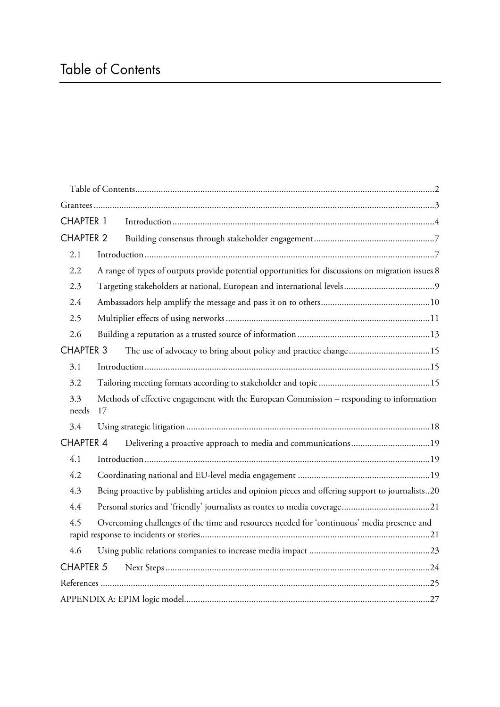# Table of Contents

| <b>CHAPTER 1</b> |                                                                                                   |                                                               |  |
|------------------|---------------------------------------------------------------------------------------------------|---------------------------------------------------------------|--|
| <b>CHAPTER 2</b> |                                                                                                   |                                                               |  |
| 2.1              |                                                                                                   |                                                               |  |
| 2.2              | A range of types of outputs provide potential opportunities for discussions on migration issues 8 |                                                               |  |
| 2.3              |                                                                                                   |                                                               |  |
| 2.4              |                                                                                                   |                                                               |  |
| 2.5              |                                                                                                   |                                                               |  |
| 2.6              |                                                                                                   |                                                               |  |
| <b>CHAPTER 3</b> |                                                                                                   |                                                               |  |
| 3.1              |                                                                                                   |                                                               |  |
| 3.2              |                                                                                                   |                                                               |  |
| 3.3<br>needs     | Methods of effective engagement with the European Commission - responding to information<br>17    |                                                               |  |
| 3.4              |                                                                                                   |                                                               |  |
| <b>CHAPTER 4</b> |                                                                                                   | Delivering a proactive approach to media and communications19 |  |
| 4.1              |                                                                                                   |                                                               |  |
| 4.2              |                                                                                                   |                                                               |  |
| 4.3              | Being proactive by publishing articles and opinion pieces and offering support to journalists20   |                                                               |  |
| 4.4              |                                                                                                   |                                                               |  |
| 4.5              | Overcoming challenges of the time and resources needed for 'continuous' media presence and        |                                                               |  |
| 4.6              |                                                                                                   |                                                               |  |
| <b>CHAPTER 5</b> |                                                                                                   |                                                               |  |
|                  |                                                                                                   |                                                               |  |
|                  |                                                                                                   |                                                               |  |
|                  |                                                                                                   |                                                               |  |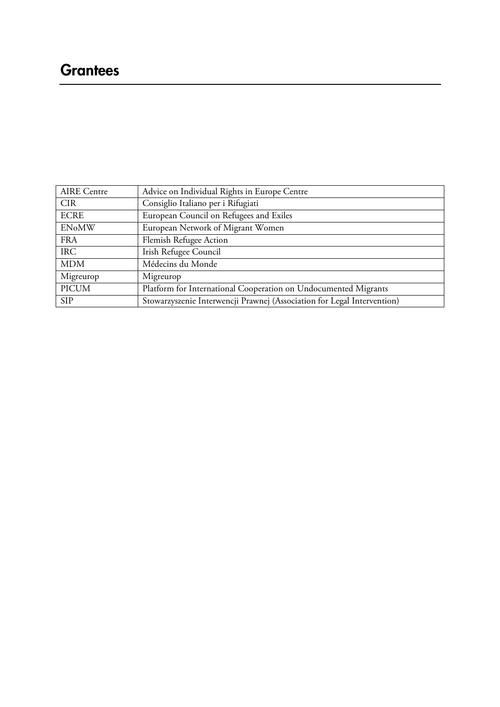# **Grantees**

| <b>AIRE</b> Centre | Advice on Individual Rights in Europe Centre                            |
|--------------------|-------------------------------------------------------------------------|
| <b>CIR</b>         | Consiglio Italiano per i Rifugiati                                      |
| <b>ECRE</b>        | European Council on Refugees and Exiles                                 |
| <b>ENoMW</b>       | European Network of Migrant Women                                       |
| <b>FRA</b>         | Flemish Refugee Action                                                  |
| <b>IRC</b>         | Irish Refugee Council                                                   |
| <b>MDM</b>         | Médecins du Monde                                                       |
| Migreurop          | Migreurop                                                               |
| <b>PICUM</b>       | Platform for International Cooperation on Undocumented Migrants         |
| <b>SIP</b>         | Stowarzyszenie Interwencji Prawnej (Association for Legal Intervention) |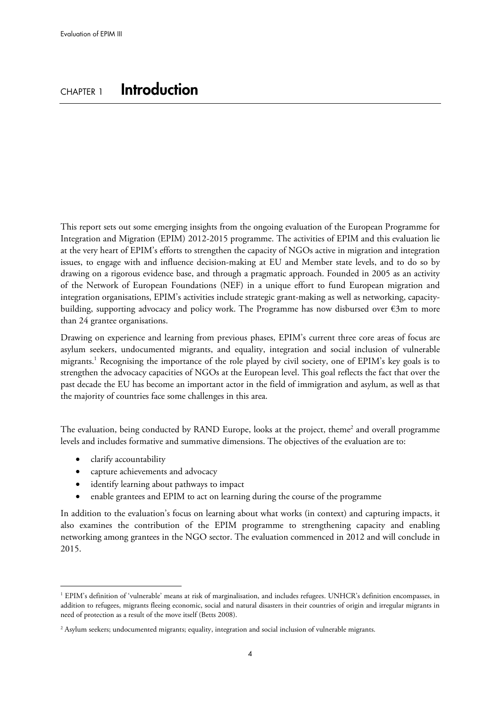This report sets out some emerging insights from the ongoing evaluation of the European Programme for Integration and Migration (EPIM) 2012-2015 programme. The activities of EPIM and this evaluation lie at the very heart of EPIM's efforts to strengthen the capacity of NGOs active in migration and integration issues, to engage with and influence decision-making at EU and Member state levels, and to do so by drawing on a rigorous evidence base, and through a pragmatic approach. Founded in 2005 as an activity of the Network of European Foundations (NEF) in a unique effort to fund European migration and integration organisations, EPIM's activities include strategic grant-making as well as networking, capacitybuilding, supporting advocacy and policy work. The Programme has now disbursed over  $\epsilon$ 3m to more than 24 grantee organisations.

Drawing on experience and learning from previous phases, EPIM's current three core areas of focus are asylum seekers, undocumented migrants, and equality, integration and social inclusion of vulnerable migrants.1 Recognising the importance of the role played by civil society, one of EPIM's key goals is to strengthen the advocacy capacities of NGOs at the European level. This goal reflects the fact that over the past decade the EU has become an important actor in the field of immigration and asylum, as well as that the majority of countries face some challenges in this area.

The evaluation, being conducted by RAND Europe, looks at the project, theme<sup>2</sup> and overall programme levels and includes formative and summative dimensions. The objectives of the evaluation are to:

• clarify accountability

 $\overline{a}$ 

- capture achievements and advocacy
- identify learning about pathways to impact
- enable grantees and EPIM to act on learning during the course of the programme

In addition to the evaluation's focus on learning about what works (in context) and capturing impacts, it also examines the contribution of the EPIM programme to strengthening capacity and enabling networking among grantees in the NGO sector. The evaluation commenced in 2012 and will conclude in 2015.

<sup>1</sup> EPIM's definition of 'vulnerable' means at risk of marginalisation, and includes refugees. UNHCR's definition encompasses, in addition to refugees, migrants fleeing economic, social and natural disasters in their countries of origin and irregular migrants in need of protection as a result of the move itself (Betts 2008).

<sup>2</sup> Asylum seekers; undocumented migrants; equality, integration and social inclusion of vulnerable migrants.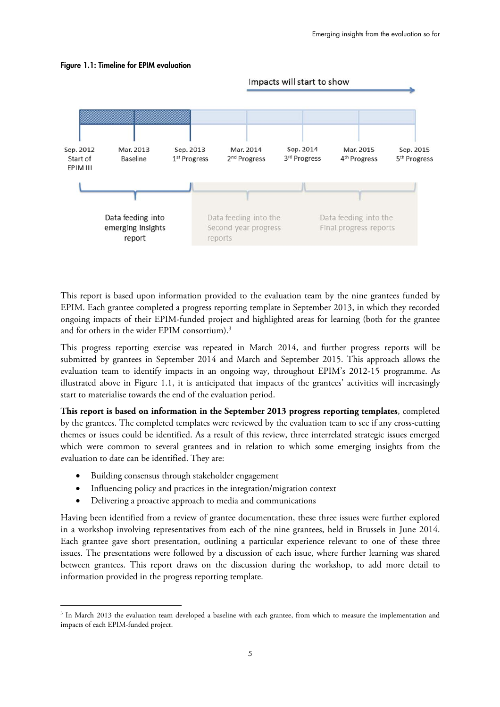

#### **Figure 1.1: Timeline for EPIM evaluation**

This report is based upon information provided to the evaluation team by the nine grantees funded by EPIM. Each grantee completed a progress reporting template in September 2013, in which they recorded ongoing impacts of their EPIM-funded project and highlighted areas for learning (both for the grantee and for others in the wider EPIM consortium).<sup>3</sup>

This progress reporting exercise was repeated in March 2014, and further progress reports will be submitted by grantees in September 2014 and March and September 2015. This approach allows the evaluation team to identify impacts in an ongoing way, throughout EPIM's 2012-15 programme. As illustrated above in Figure 1.1, it is anticipated that impacts of the grantees' activities will increasingly start to materialise towards the end of the evaluation period.

**This report is based on information in the September 2013 progress reporting templates**, completed by the grantees. The completed templates were reviewed by the evaluation team to see if any cross-cutting themes or issues could be identified. As a result of this review, three interrelated strategic issues emerged which were common to several grantees and in relation to which some emerging insights from the evaluation to date can be identified. They are:

Building consensus through stakeholder engagement

 $\overline{a}$ 

- Influencing policy and practices in the integration/migration context
- Delivering a proactive approach to media and communications

Having been identified from a review of grantee documentation, these three issues were further explored in a workshop involving representatives from each of the nine grantees, held in Brussels in June 2014. Each grantee gave short presentation, outlining a particular experience relevant to one of these three issues. The presentations were followed by a discussion of each issue, where further learning was shared between grantees. This report draws on the discussion during the workshop, to add more detail to information provided in the progress reporting template.

<sup>&</sup>lt;sup>3</sup> In March 2013 the evaluation team developed a baseline with each grantee, from which to measure the implementation and impacts of each EPIM-funded project.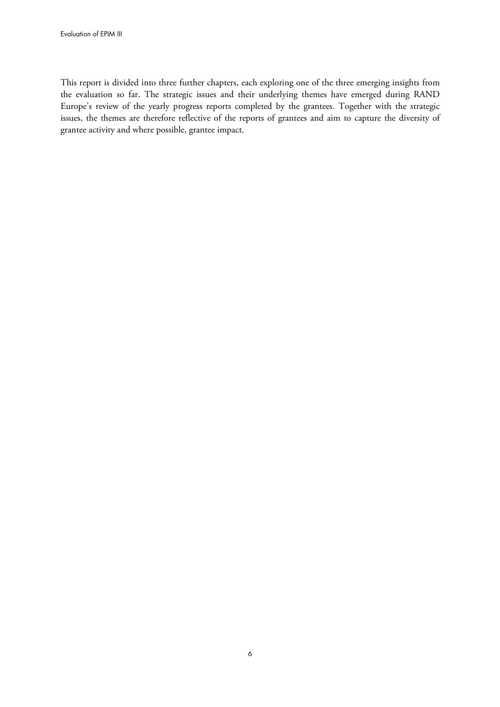This report is divided into three further chapters, each exploring one of the three emerging insights from the evaluation so far. The strategic issues and their underlying themes have emerged during RAND Europe's review of the yearly progress reports completed by the grantees. Together with the strategic issues, the themes are therefore reflective of the reports of grantees and aim to capture the diversity of grantee activity and where possible, grantee impact.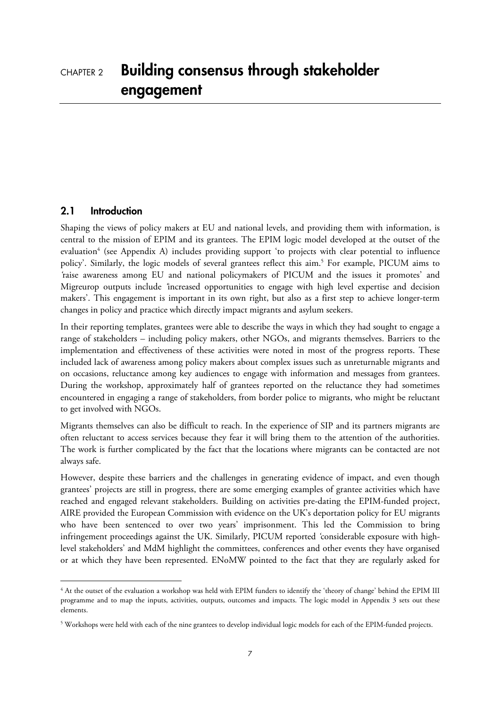#### **2.1 Introduction**

<u>.</u>

Shaping the views of policy makers at EU and national levels, and providing them with information, is central to the mission of EPIM and its grantees. The EPIM logic model developed at the outset of the evaluation<sup>4</sup> (see Appendix A) includes providing support 'to projects with clear potential to influence policy'. Similarly, the logic models of several grantees reflect this aim.<sup>5</sup> For example, PICUM aims to *'*raise awareness among EU and national policymakers of PICUM and the issues it promotes' and Migreurop outputs include *'*increased opportunities to engage with high level expertise and decision makers'. This engagement is important in its own right, but also as a first step to achieve longer-term changes in policy and practice which directly impact migrants and asylum seekers.

In their reporting templates, grantees were able to describe the ways in which they had sought to engage a range of stakeholders – including policy makers, other NGOs, and migrants themselves. Barriers to the implementation and effectiveness of these activities were noted in most of the progress reports. These included lack of awareness among policy makers about complex issues such as unreturnable migrants and on occasions, reluctance among key audiences to engage with information and messages from grantees. During the workshop, approximately half of grantees reported on the reluctance they had sometimes encountered in engaging a range of stakeholders, from border police to migrants, who might be reluctant to get involved with NGOs.

Migrants themselves can also be difficult to reach. In the experience of SIP and its partners migrants are often reluctant to access services because they fear it will bring them to the attention of the authorities. The work is further complicated by the fact that the locations where migrants can be contacted are not always safe.

However, despite these barriers and the challenges in generating evidence of impact, and even though grantees' projects are still in progress, there are some emerging examples of grantee activities which have reached and engaged relevant stakeholders. Building on activities pre-dating the EPIM-funded project, AIRE provided the European Commission with evidence on the UK's deportation policy for EU migrants who have been sentenced to over two years' imprisonment. This led the Commission to bring infringement proceedings against the UK. Similarly, PICUM reported *'*considerable exposure with highlevel stakeholders' and MdM highlight the committees, conferences and other events they have organised or at which they have been represented. ENoMW pointed to the fact that they are regularly asked for

<sup>4</sup> At the outset of the evaluation a workshop was held with EPIM funders to identify the 'theory of change' behind the EPIM III programme and to map the inputs, activities, outputs, outcomes and impacts. The logic model in Appendix 3 sets out these elements.

 $5$  Workshops were held with each of the nine grantees to develop individual logic models for each of the EPIM-funded projects.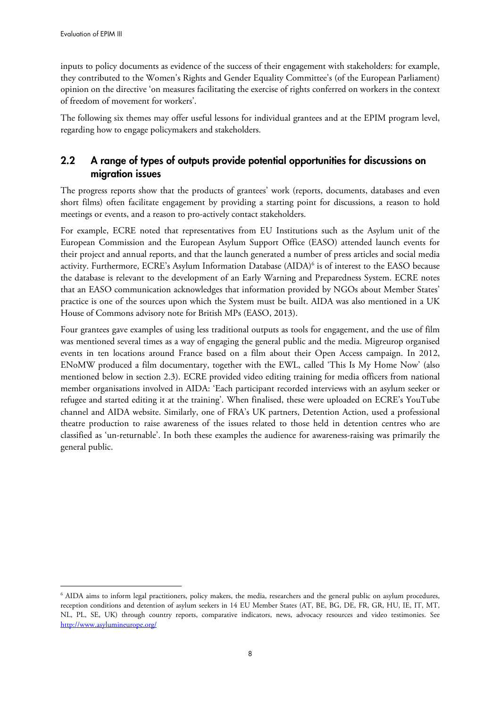inputs to policy documents as evidence of the success of their engagement with stakeholders: for example, they contributed to the Women's Rights and Gender Equality Committee's (of the European Parliament) opinion on the directive 'on measures facilitating the exercise of rights conferred on workers in the context of freedom of movement for workers'.

The following six themes may offer useful lessons for individual grantees and at the EPIM program level, regarding how to engage policymakers and stakeholders.

# **2.2 A range of types of outputs provide potential opportunities for discussions on migration issues**

The progress reports show that the products of grantees' work (reports, documents, databases and even short films) often facilitate engagement by providing a starting point for discussions, a reason to hold meetings or events, and a reason to pro-actively contact stakeholders.

For example, ECRE noted that representatives from EU Institutions such as the Asylum unit of the European Commission and the European Asylum Support Office (EASO) attended launch events for their project and annual reports, and that the launch generated a number of press articles and social media activity. Furthermore, ECRE's Asylum Information Database (AIDA)6 is of interest to the EASO because the database is relevant to the development of an Early Warning and Preparedness System. ECRE notes that an EASO communication acknowledges that information provided by NGOs about Member States' practice is one of the sources upon which the System must be built. AIDA was also mentioned in a UK House of Commons advisory note for British MPs (EASO, 2013).

Four grantees gave examples of using less traditional outputs as tools for engagement, and the use of film was mentioned several times as a way of engaging the general public and the media. Migreurop organised events in ten locations around France based on a film about their Open Access campaign. In 2012, ENoMW produced a film documentary, together with the EWL, called 'This Is My Home Now' (also mentioned below in section 2.3). ECRE provided video editing training for media officers from national member organisations involved in AIDA: 'Each participant recorded interviews with an asylum seeker or refugee and started editing it at the training'. When finalised, these were uploaded on ECRE's YouTube channel and AIDA website. Similarly, one of FRA's UK partners, Detention Action, used a professional theatre production to raise awareness of the issues related to those held in detention centres who are classified as 'un-returnable'. In both these examples the audience for awareness-raising was primarily the general public.

 $\overline{a}$ 6 AIDA aims to inform legal practitioners, policy makers, the media, researchers and the general public on asylum procedures, reception conditions and detention of asylum seekers in 14 EU Member States (AT, BE, BG, DE, FR, GR, HU, IE, IT, MT, NL, PL, SE, UK) through country reports, comparative indicators, news, advocacy resources and video testimonies. See <http://www.asylumineurope.org/>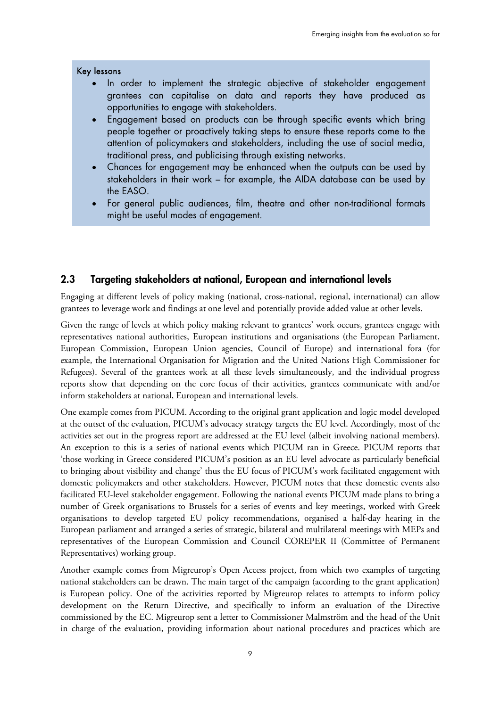#### Key lessons

- In order to implement the strategic objective of stakeholder engagement grantees can capitalise on data and reports they have produced as opportunities to engage with stakeholders.
- Engagement based on products can be through specific events which bring people together or proactively taking steps to ensure these reports come to the attention of policymakers and stakeholders, including the use of social media, traditional press, and publicising through existing networks.
- Chances for engagement may be enhanced when the outputs can be used by stakeholders in their work – for example, the AIDA database can be used by the EASO.
- For general public audiences, film, theatre and other non-traditional formats might be useful modes of engagement.

#### **2.3 Targeting stakeholders at national, European and international levels**

Engaging at different levels of policy making (national, cross-national, regional, international) can allow grantees to leverage work and findings at one level and potentially provide added value at other levels.

Given the range of levels at which policy making relevant to grantees' work occurs, grantees engage with representatives national authorities, European institutions and organisations (the European Parliament, European Commission, European Union agencies, Council of Europe) and international fora (for example, the International Organisation for Migration and the United Nations High Commissioner for Refugees). Several of the grantees work at all these levels simultaneously, and the individual progress reports show that depending on the core focus of their activities, grantees communicate with and/or inform stakeholders at national, European and international levels.

One example comes from PICUM. According to the original grant application and logic model developed at the outset of the evaluation, PICUM's advocacy strategy targets the EU level. Accordingly, most of the activities set out in the progress report are addressed at the EU level (albeit involving national members). An exception to this is a series of national events which PICUM ran in Greece. PICUM reports that 'those working in Greece considered PICUM's position as an EU level advocate as particularly beneficial to bringing about visibility and change' thus the EU focus of PICUM's work facilitated engagement with domestic policymakers and other stakeholders. However, PICUM notes that these domestic events also facilitated EU-level stakeholder engagement. Following the national events PICUM made plans to bring a number of Greek organisations to Brussels for a series of events and key meetings, worked with Greek organisations to develop targeted EU policy recommendations, organised a half-day hearing in the European parliament and arranged a series of strategic, bilateral and multilateral meetings with MEPs and representatives of the European Commission and Council COREPER II (Committee of Permanent Representatives) working group.

Another example comes from Migreurop's Open Access project, from which two examples of targeting national stakeholders can be drawn. The main target of the campaign (according to the grant application) is European policy. One of the activities reported by Migreurop relates to attempts to inform policy development on the Return Directive, and specifically to inform an evaluation of the Directive commissioned by the EC. Migreurop sent a letter to Commissioner Malmström and the head of the Unit in charge of the evaluation, providing information about national procedures and practices which are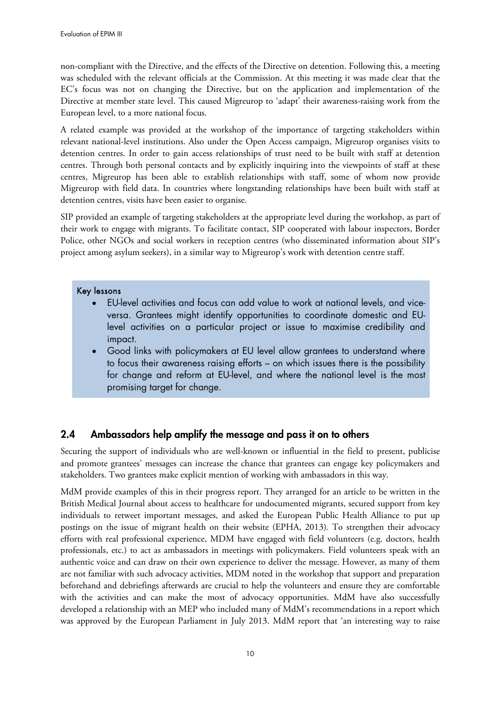non-compliant with the Directive, and the effects of the Directive on detention. Following this, a meeting was scheduled with the relevant officials at the Commission. At this meeting it was made clear that the EC's focus was not on changing the Directive, but on the application and implementation of the Directive at member state level. This caused Migreurop to 'adapt' their awareness-raising work from the European level, to a more national focus.

A related example was provided at the workshop of the importance of targeting stakeholders within relevant national-level institutions. Also under the Open Access campaign, Migreurop organises visits to detention centres. In order to gain access relationships of trust need to be built with staff at detention centres. Through both personal contacts and by explicitly inquiring into the viewpoints of staff at these centres, Migreurop has been able to establish relationships with staff, some of whom now provide Migreurop with field data. In countries where longstanding relationships have been built with staff at detention centres, visits have been easier to organise.

SIP provided an example of targeting stakeholders at the appropriate level during the workshop, as part of their work to engage with migrants. To facilitate contact, SIP cooperated with labour inspectors, Border Police, other NGOs and social workers in reception centres (who disseminated information about SIP's project among asylum seekers), in a similar way to Migreurop's work with detention centre staff.

#### Key lessons

- EU-level activities and focus can add value to work at national levels, and viceversa. Grantees might identify opportunities to coordinate domestic and EUlevel activities on a particular project or issue to maximise credibility and impact.
- Good links with policymakers at EU level allow grantees to understand where to focus their awareness raising efforts – on which issues there is the possibility for change and reform at EU-level, and where the national level is the most promising target for change.

# **2.4 Ambassadors help amplify the message and pass it on to others**

Securing the support of individuals who are well-known or influential in the field to present, publicise and promote grantees' messages can increase the chance that grantees can engage key policymakers and stakeholders. Two grantees make explicit mention of working with ambassadors in this way.

MdM provide examples of this in their progress report. They arranged for an article to be written in the British Medical Journal about access to healthcare for undocumented migrants, secured support from key individuals to retweet important messages, and asked the European Public Health Alliance to put up postings on the issue of migrant health on their website (EPHA, 2013)*.* To strengthen their advocacy efforts with real professional experience, MDM have engaged with field volunteers (e.g. doctors, health professionals, etc.) to act as ambassadors in meetings with policymakers. Field volunteers speak with an authentic voice and can draw on their own experience to deliver the message. However, as many of them are not familiar with such advocacy activities, MDM noted in the workshop that support and preparation beforehand and debriefings afterwards are crucial to help the volunteers and ensure they are comfortable with the activities and can make the most of advocacy opportunities. MdM have also successfully developed a relationship with an MEP who included many of MdM's recommendations in a report which was approved by the European Parliament in July 2013. MdM report that 'an interesting way to raise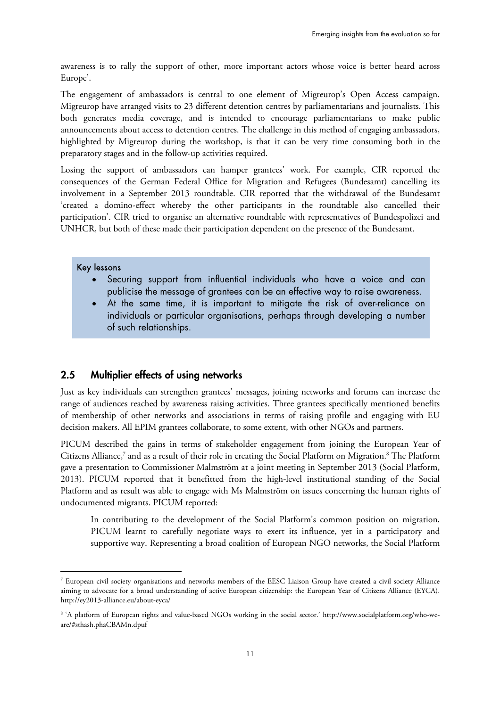awareness is to rally the support of other, more important actors whose voice is better heard across Europe'.

The engagement of ambassadors is central to one element of Migreurop's Open Access campaign. Migreurop have arranged visits to 23 different detention centres by parliamentarians and journalists. This both generates media coverage, and is intended to encourage parliamentarians to make public announcements about access to detention centres. The challenge in this method of engaging ambassadors, highlighted by Migreurop during the workshop, is that it can be very time consuming both in the preparatory stages and in the follow-up activities required.

Losing the support of ambassadors can hamper grantees' work. For example, CIR reported the consequences of the German Federal Office for Migration and Refugees (Bundesamt) cancelling its involvement in a September 2013 roundtable. CIR reported that the withdrawal of the Bundesamt 'created a domino-effect whereby the other participants in the roundtable also cancelled their participation'. CIR tried to organise an alternative roundtable with representatives of Bundespolizei and UNHCR, but both of these made their participation dependent on the presence of the Bundesamt.

#### Key lessons

 $\overline{a}$ 

- Securing support from influential individuals who have a voice and can publicise the message of grantees can be an effective way to raise awareness.
- At the same time, it is important to mitigate the risk of over-reliance on individuals or particular organisations, perhaps through developing a number of such relationships.

## **2.5 Multiplier effects of using networks**

Just as key individuals can strengthen grantees' messages, joining networks and forums can increase the range of audiences reached by awareness raising activities. Three grantees specifically mentioned benefits of membership of other networks and associations in terms of raising profile and engaging with EU decision makers. All EPIM grantees collaborate, to some extent, with other NGOs and partners.

PICUM described the gains in terms of stakeholder engagement from joining the European Year of Citizens Alliance,<sup>7</sup> and as a result of their role in creating the Social Platform on Migration.<sup>8</sup> The Platform gave a presentation to Commissioner Malmström at a joint meeting in September 2013 (Social Platform, 2013). PICUM reported that it benefitted from the high-level institutional standing of the Social Platform and as result was able to engage with Ms Malmström on issues concerning the human rights of undocumented migrants. PICUM reported:

In contributing to the development of the Social Platform's common position on migration, PICUM learnt to carefully negotiate ways to exert its influence, yet in a participatory and supportive way. Representing a broad coalition of European NGO networks, the Social Platform

 $^7$  European civil society organisations and networks members of the EESC Liaison Group have created a civil society Alliance aiming to advocate for a broad understanding of active European citizenship: the European Year of Citizens Alliance (EYCA). <http://ey2013-alliance.eu/about-eyca/>

<sup>8</sup> 'A platform of European rights and value-based NGOs working in the social sector.' [http://www.socialplatform.org/who-we](http://www.socialplatform.org/who-we-are/#sthash.phaCBAMn.dpuf)[are/#sthash.phaCBAMn.dpuf](http://www.socialplatform.org/who-we-are/#sthash.phaCBAMn.dpuf)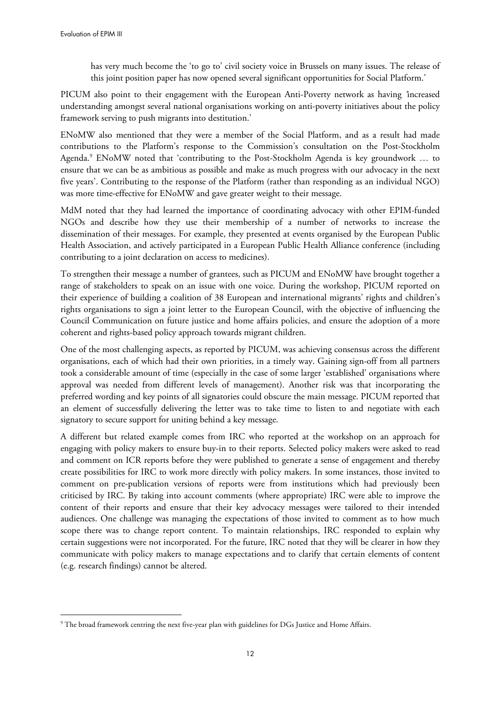$\overline{a}$ 

has very much become the 'to go to' civil society voice in Brussels on many issues. The release of this joint position paper has now opened several significant opportunities for Social Platform.'

PICUM also point to their engagement with the European Anti-Poverty network as having *'*increased understanding amongst several national organisations working on anti-poverty initiatives about the policy framework serving to push migrants into destitution.'

ENoMW also mentioned that they were a member of the Social Platform, and as a result had made contributions to the Platform's response to the Commission's consultation on the Post-Stockholm Agenda.<sup>9</sup> ENoMW noted that 'contributing to the Post-Stockholm Agenda is key groundwork ... to ensure that we can be as ambitious as possible and make as much progress with our advocacy in the next five years'. Contributing to the response of the Platform (rather than responding as an individual NGO) was more time-effective for ENoMW and gave greater weight to their message.

MdM noted that they had learned the importance of coordinating advocacy with other EPIM-funded NGOs and describe how they use their membership of a number of networks to increase the dissemination of their messages. For example, they presented at events organised by the European Public Health Association, and actively participated in a European Public Health Alliance conference (including contributing to a joint declaration on access to medicines).

To strengthen their message a number of grantees, such as PICUM and ENoMW have brought together a range of stakeholders to speak on an issue with one voice. During the workshop, PICUM reported on their experience of building a coalition of 38 European and international migrants' rights and children's rights organisations to sign a joint letter to the European Council, with the objective of influencing the Council Communication on future justice and home affairs policies, and ensure the adoption of a more coherent and rights-based policy approach towards migrant children.

One of the most challenging aspects, as reported by PICUM, was achieving consensus across the different organisations, each of which had their own priorities, in a timely way. Gaining sign-off from all partners took a considerable amount of time (especially in the case of some larger 'established' organisations where approval was needed from different levels of management). Another risk was that incorporating the preferred wording and key points of all signatories could obscure the main message. PICUM reported that an element of successfully delivering the letter was to take time to listen to and negotiate with each signatory to secure support for uniting behind a key message.

A different but related example comes from IRC who reported at the workshop on an approach for engaging with policy makers to ensure buy-in to their reports. Selected policy makers were asked to read and comment on ICR reports before they were published to generate a sense of engagement and thereby create possibilities for IRC to work more directly with policy makers. In some instances, those invited to comment on pre-publication versions of reports were from institutions which had previously been criticised by IRC. By taking into account comments (where appropriate) IRC were able to improve the content of their reports and ensure that their key advocacy messages were tailored to their intended audiences. One challenge was managing the expectations of those invited to comment as to how much scope there was to change report content. To maintain relationships, IRC responded to explain why certain suggestions were not incorporated. For the future, IRC noted that they will be clearer in how they communicate with policy makers to manage expectations and to clarify that certain elements of content (e.g. research findings) cannot be altered.

<sup>9</sup> The broad framework centring the next five-year plan with guidelines for DGs Justice and Home Affairs.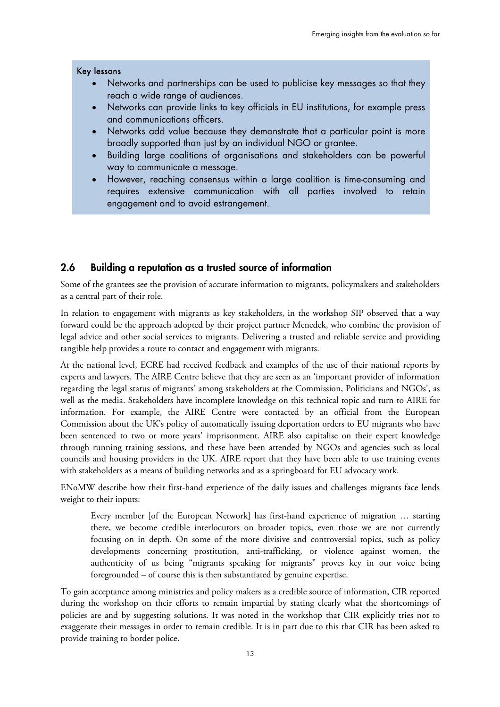#### Key lessons

- Networks and partnerships can be used to publicise key messages so that they reach a wide range of audiences.
- Networks can provide links to key officials in EU institutions, for example press and communications officers.
- Networks add value because they demonstrate that a particular point is more broadly supported than just by an individual NGO or grantee.
- Building large coalitions of organisations and stakeholders can be powerful way to communicate a message.
- However, reaching consensus within a large coalition is time-consuming and requires extensive communication with all parties involved to retain engagement and to avoid estrangement.

#### **2.6 Building a reputation as a trusted source of information**

Some of the grantees see the provision of accurate information to migrants, policymakers and stakeholders as a central part of their role.

In relation to engagement with migrants as key stakeholders, in the workshop SIP observed that a way forward could be the approach adopted by their project partner Menedek, who combine the provision of legal advice and other social services to migrants. Delivering a trusted and reliable service and providing tangible help provides a route to contact and engagement with migrants.

At the national level, ECRE had received feedback and examples of the use of their national reports by experts and lawyers. The AIRE Centre believe that they are seen as an 'important provider of information regarding the legal status of migrants' among stakeholders at the Commission, Politicians and NGOs', as well as the media. Stakeholders have incomplete knowledge on this technical topic and turn to AIRE for information. For example, the AIRE Centre were contacted by an official from the European Commission about the UK's policy of automatically issuing deportation orders to EU migrants who have been sentenced to two or more years' imprisonment. AIRE also capitalise on their expert knowledge through running training sessions, and these have been attended by NGOs and agencies such as local councils and housing providers in the UK. AIRE report that they have been able to use training events with stakeholders as a means of building networks and as a springboard for EU advocacy work.

ENoMW describe how their first-hand experience of the daily issues and challenges migrants face lends weight to their inputs:

Every member [of the European Network] has first-hand experience of migration … starting there, we become credible interlocutors on broader topics, even those we are not currently focusing on in depth. On some of the more divisive and controversial topics, such as policy developments concerning prostitution, anti-trafficking, or violence against women, the authenticity of us being "migrants speaking for migrants" proves key in our voice being foregrounded – of course this is then substantiated by genuine expertise.

To gain acceptance among ministries and policy makers as a credible source of information, CIR reported during the workshop on their efforts to remain impartial by stating clearly what the shortcomings of policies are and by suggesting solutions. It was noted in the workshop that CIR explicitly tries not to exaggerate their messages in order to remain credible. It is in part due to this that CIR has been asked to provide training to border police.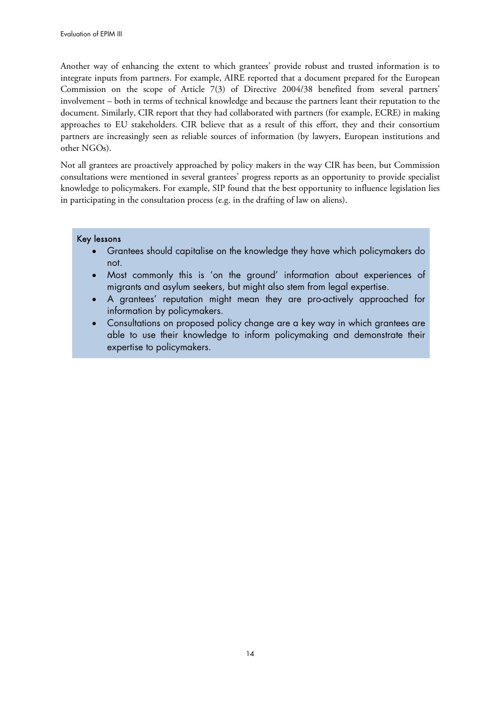Another way of enhancing the extent to which grantees' provide robust and trusted information is to integrate inputs from partners. For example, AIRE reported that a document prepared for the European Commission on the scope of Article 7(3) of Directive 2004/38 benefited from several partners' involvement – both in terms of technical knowledge and because the partners leant their reputation to the document. Similarly, CIR report that they had collaborated with partners (for example, ECRE) in making approaches to EU stakeholders. CIR believe that as a result of this effort, they and their consortium partners are increasingly seen as reliable sources of information (by lawyers, European institutions and other NGOs).

Not all grantees are proactively approached by policy makers in the way CIR has been, but Commission consultations were mentioned in several grantees' progress reports as an opportunity to provide specialist knowledge to policymakers. For example, SIP found that the best opportunity to influence legislation lies in participating in the consultation process (e.g. in the drafting of law on aliens).

#### Key lessons

- Grantees should capitalise on the knowledge they have which policymakers do not.
- Most commonly this is 'on the ground' information about experiences of migrants and asylum seekers, but might also stem from legal expertise.
- A grantees' reputation might mean they are pro-actively approached for information by policymakers.
- Consultations on proposed policy change are a key way in which grantees are able to use their knowledge to inform policymaking and demonstrate their expertise to policymakers.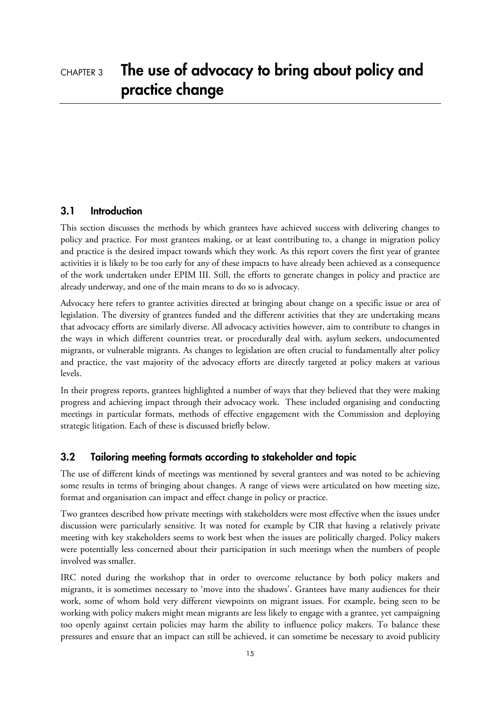## **3.1 Introduction**

This section discusses the methods by which grantees have achieved success with delivering changes to policy and practice. For most grantees making, or at least contributing to, a change in migration policy and practice is the desired impact towards which they work. As this report covers the first year of grantee activities it is likely to be too early for any of these impacts to have already been achieved as a consequence of the work undertaken under EPIM III. Still, the efforts to generate changes in policy and practice are already underway, and one of the main means to do so is advocacy.

Advocacy here refers to grantee activities directed at bringing about change on a specific issue or area of legislation. The diversity of grantees funded and the different activities that they are undertaking means that advocacy efforts are similarly diverse. All advocacy activities however, aim to contribute to changes in the ways in which different countries treat, or procedurally deal with, asylum seekers, undocumented migrants, or vulnerable migrants. As changes to legislation are often crucial to fundamentally alter policy and practice, the vast majority of the advocacy efforts are directly targeted at policy makers at various levels.

In their progress reports, grantees highlighted a number of ways that they believed that they were making progress and achieving impact through their advocacy work. These included organising and conducting meetings in particular formats, methods of effective engagement with the Commission and deploying strategic litigation. Each of these is discussed briefly below.

# **3.2 Tailoring meeting formats according to stakeholder and topic**

The use of different kinds of meetings was mentioned by several grantees and was noted to be achieving some results in terms of bringing about changes. A range of views were articulated on how meeting size, format and organisation can impact and effect change in policy or practice.

Two grantees described how private meetings with stakeholders were most effective when the issues under discussion were particularly sensitive. It was noted for example by CIR that having a relatively private meeting with key stakeholders seems to work best when the issues are politically charged. Policy makers were potentially less concerned about their participation in such meetings when the numbers of people involved was smaller.

IRC noted during the workshop that in order to overcome reluctance by both policy makers and migrants, it is sometimes necessary to 'move into the shadows'. Grantees have many audiences for their work, some of whom hold very different viewpoints on migrant issues. For example, being seen to be working with policy makers might mean migrants are less likely to engage with a grantee, yet campaigning too openly against certain policies may harm the ability to influence policy makers. To balance these pressures and ensure that an impact can still be achieved, it can sometime be necessary to avoid publicity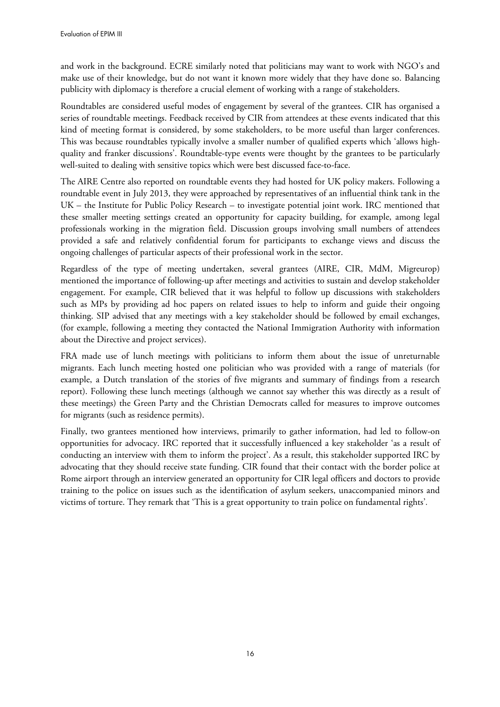and work in the background. ECRE similarly noted that politicians may want to work with NGO's and make use of their knowledge, but do not want it known more widely that they have done so. Balancing publicity with diplomacy is therefore a crucial element of working with a range of stakeholders.

Roundtables are considered useful modes of engagement by several of the grantees. CIR has organised a series of roundtable meetings. Feedback received by CIR from attendees at these events indicated that this kind of meeting format is considered, by some stakeholders, to be more useful than larger conferences. This was because roundtables typically involve a smaller number of qualified experts which 'allows highquality and franker discussions'. Roundtable-type events were thought by the grantees to be particularly well-suited to dealing with sensitive topics which were best discussed face-to-face.

The AIRE Centre also reported on roundtable events they had hosted for UK policy makers. Following a roundtable event in July 2013, they were approached by representatives of an influential think tank in the UK – the Institute for Public Policy Research – to investigate potential joint work. IRC mentioned that these smaller meeting settings created an opportunity for capacity building, for example, among legal professionals working in the migration field. Discussion groups involving small numbers of attendees provided a safe and relatively confidential forum for participants to exchange views and discuss the ongoing challenges of particular aspects of their professional work in the sector.

Regardless of the type of meeting undertaken, several grantees (AIRE, CIR, MdM, Migreurop) mentioned the importance of following-up after meetings and activities to sustain and develop stakeholder engagement. For example, CIR believed that it was helpful to follow up discussions with stakeholders such as MPs by providing ad hoc papers on related issues to help to inform and guide their ongoing thinking. SIP advised that any meetings with a key stakeholder should be followed by email exchanges, (for example, following a meeting they contacted the National Immigration Authority with information about the Directive and project services).

FRA made use of lunch meetings with politicians to inform them about the issue of unreturnable migrants. Each lunch meeting hosted one politician who was provided with a range of materials (for example, a Dutch translation of the stories of five migrants and summary of findings from a research report). Following these lunch meetings (although we cannot say whether this was directly as a result of these meetings) the Green Party and the Christian Democrats called for measures to improve outcomes for migrants (such as residence permits).

Finally, two grantees mentioned how interviews, primarily to gather information, had led to follow-on opportunities for advocacy. IRC reported that it successfully influenced a key stakeholder 'as a result of conducting an interview with them to inform the project'. As a result, this stakeholder supported IRC by advocating that they should receive state funding. CIR found that their contact with the border police at Rome airport through an interview generated an opportunity for CIR legal officers and doctors to provide training to the police on issues such as the identification of asylum seekers, unaccompanied minors and victims of torture. They remark that 'This is a great opportunity to train police on fundamental rights'*.*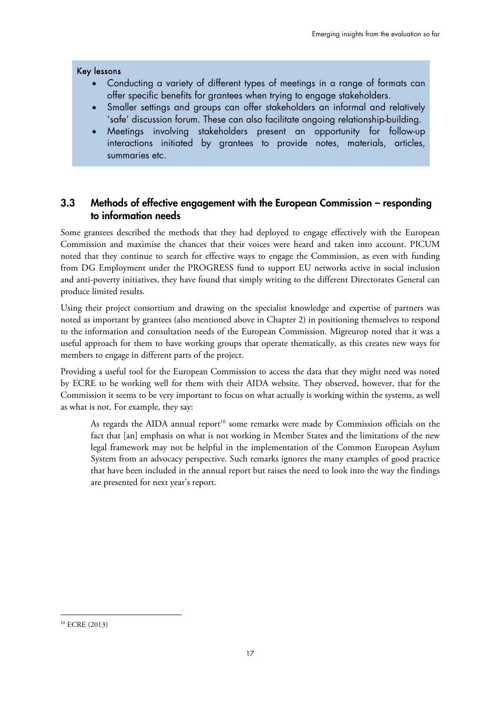#### Key lessons

- Conducting a variety of different types of meetings in a range of formats can offer specific benefits for grantees when trying to engage stakeholders.
- Smaller settings and groups can offer stakeholders an informal and relatively 'safe' discussion forum. These can also facilitate ongoing relationship-building.
- Meetings involving stakeholders present an opportunity for follow-up interactions initiated by grantees to provide notes, materials, articles, summaries etc.

## **3.3 Methods of effective engagement with the European Commission – responding to information needs**

Some grantees described the methods that they had deployed to engage effectively with the European Commission and maximise the chances that their voices were heard and taken into account. PICUM noted that they continue to search for effective ways to engage the Commission, as even with funding from DG Employment under the PROGRESS fund to support EU networks active in social inclusion and anti-poverty initiatives, they have found that simply writing to the different Directorates General can produce limited results.

Using their project consortium and drawing on the specialist knowledge and expertise of partners was noted as important by grantees (also mentioned above in Chapter 2) in positioning themselves to respond to the information and consultation needs of the European Commission. Migreurop noted that it was a useful approach for them to have working groups that operate thematically, as this creates new ways for members to engage in different parts of the project.

Providing a useful tool for the European Commission to access the data that they might need was noted by ECRE to be working well for them with their AIDA website. They observed, however, that for the Commission it seems to be very important to focus on what actually is working within the systems, as well as what is not. For example, they say:

As regards the AIDA annual report<sup>10</sup> some remarks were made by Commission officials on the fact that [an] emphasis on what is not working in Member States and the limitations of the new legal framework may not be helpful in the implementation of the Common European Asylum System from an advocacy perspective. Such remarks ignores the many examples of good practice that have been included in the annual report but raises the need to look into the way the findings are presented for next year's report.

 $\ddot{\phantom{a}}$ 

<sup>10</sup> ECRE (2013)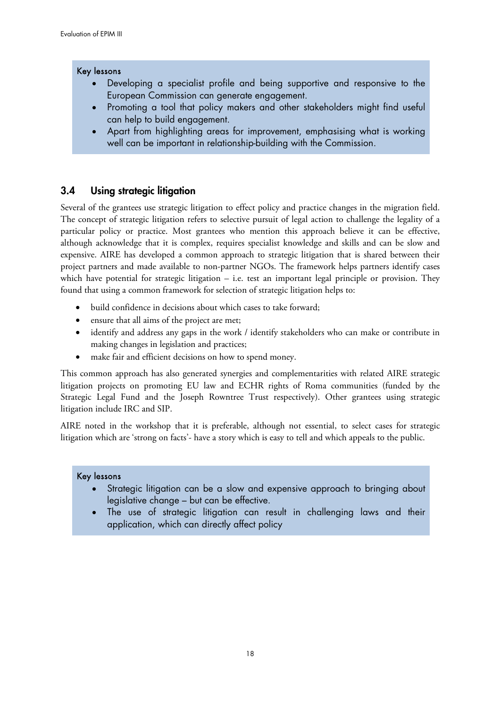#### Key lessons

- Developing a specialist profile and being supportive and responsive to the European Commission can generate engagement.
- Promoting a tool that policy makers and other stakeholders might find useful can help to build engagement.
- Apart from highlighting areas for improvement, emphasising what is working well can be important in relationship-building with the Commission.

## **3.4 Using strategic litigation**

Several of the grantees use strategic litigation to effect policy and practice changes in the migration field. The concept of strategic litigation refers to selective pursuit of legal action to challenge the legality of a particular policy or practice. Most grantees who mention this approach believe it can be effective, although acknowledge that it is complex, requires specialist knowledge and skills and can be slow and expensive. AIRE has developed a common approach to strategic litigation that is shared between their project partners and made available to non-partner NGOs. The framework helps partners identify cases which have potential for strategic litigation – i.e. test an important legal principle or provision. They found that using a common framework for selection of strategic litigation helps to:

- build confidence in decisions about which cases to take forward;
- ensure that all aims of the project are met;
- identify and address any gaps in the work / identify stakeholders who can make or contribute in making changes in legislation and practices;
- make fair and efficient decisions on how to spend money.

This common approach has also generated synergies and complementarities with related AIRE strategic litigation projects on promoting EU law and ECHR rights of Roma communities (funded by the Strategic Legal Fund and the Joseph Rowntree Trust respectively). Other grantees using strategic litigation include IRC and SIP.

AIRE noted in the workshop that it is preferable, although not essential, to select cases for strategic litigation which are 'strong on facts'- have a story which is easy to tell and which appeals to the public.

#### Key lessons

- Strategic litigation can be a slow and expensive approach to bringing about legislative change – but can be effective.
- The use of strategic litigation can result in challenging laws and their application, which can directly affect policy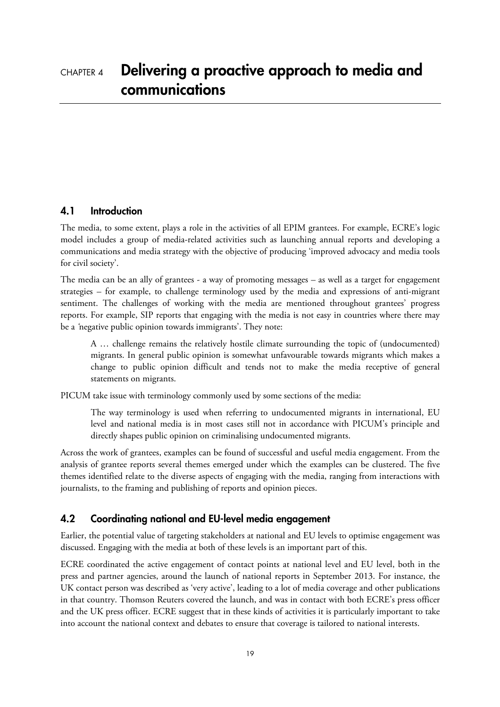## **4.1 Introduction**

The media, to some extent, plays a role in the activities of all EPIM grantees. For example, ECRE's logic model includes a group of media-related activities such as launching annual reports and developing a communications and media strategy with the objective of producing 'improved advocacy and media tools for civil society'.

The media can be an ally of grantees - a way of promoting messages – as well as a target for engagement strategies – for example, to challenge terminology used by the media and expressions of anti-migrant sentiment. The challenges of working with the media are mentioned throughout grantees' progress reports. For example, SIP reports that engaging with the media is not easy in countries where there may be a *'*negative public opinion towards immigrants'. They note:

A … challenge remains the relatively hostile climate surrounding the topic of (undocumented) migrants. In general public opinion is somewhat unfavourable towards migrants which makes a change to public opinion difficult and tends not to make the media receptive of general statements on migrants.

PICUM take issue with terminology commonly used by some sections of the media:

The way terminology is used when referring to undocumented migrants in international, EU level and national media is in most cases still not in accordance with PICUM's principle and directly shapes public opinion on criminalising undocumented migrants.

Across the work of grantees, examples can be found of successful and useful media engagement. From the analysis of grantee reports several themes emerged under which the examples can be clustered. The five themes identified relate to the diverse aspects of engaging with the media, ranging from interactions with journalists, to the framing and publishing of reports and opinion pieces.

# **4.2 Coordinating national and EU-level media engagement**

Earlier, the potential value of targeting stakeholders at national and EU levels to optimise engagement was discussed. Engaging with the media at both of these levels is an important part of this.

ECRE coordinated the active engagement of contact points at national level and EU level, both in the press and partner agencies, around the launch of national reports in September 2013. For instance, the UK contact person was described as 'very active', leading to a lot of media coverage and other publications in that country. Thomson Reuters covered the launch, and was in contact with both ECRE's press officer and the UK press officer. ECRE suggest that in these kinds of activities it is particularly important to take into account the national context and debates to ensure that coverage is tailored to national interests.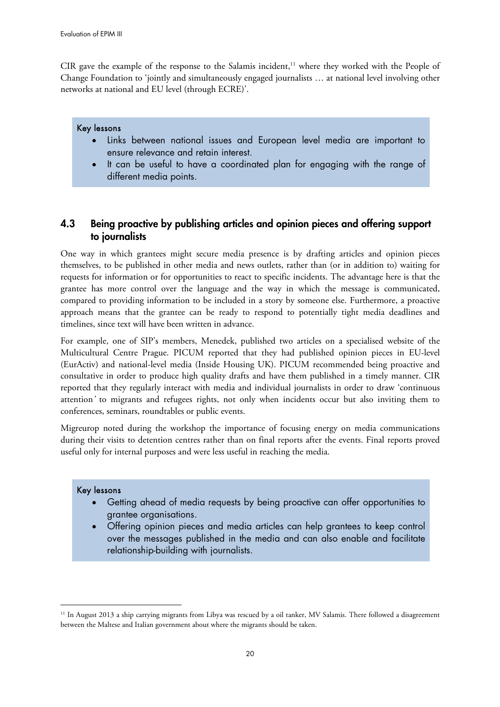CIR gave the example of the response to the Salamis incident, $11$  where they worked with the People of Change Foundation to 'jointly and simultaneously engaged journalists … at national level involving other networks at national and EU level (through ECRE)'.

#### Key lessons

- Links between national issues and European level media are important to ensure relevance and retain interest.
- It can be useful to have a coordinated plan for engaging with the range of different media points.

# **4.3 Being proactive by publishing articles and opinion pieces and offering support to journalists**

One way in which grantees might secure media presence is by drafting articles and opinion pieces themselves, to be published in other media and news outlets, rather than (or in addition to) waiting for requests for information or for opportunities to react to specific incidents. The advantage here is that the grantee has more control over the language and the way in which the message is communicated, compared to providing information to be included in a story by someone else. Furthermore, a proactive approach means that the grantee can be ready to respond to potentially tight media deadlines and timelines, since text will have been written in advance.

For example, one of SIP's members, Menedek, published two articles on a specialised website of the Multicultural Centre Prague. PICUM reported that they had published opinion pieces in EU-level (EurActiv) and national-level media (Inside Housing UK). PICUM recommended being proactive and consultative in order to produce high quality drafts and have them published in a timely manner. CIR reported that they regularly interact with media and individual journalists in order to draw 'continuous attention*'* to migrants and refugees rights, not only when incidents occur but also inviting them to conferences, seminars, roundtables or public events.

Migreurop noted during the workshop the importance of focusing energy on media communications during their visits to detention centres rather than on final reports after the events. Final reports proved useful only for internal purposes and were less useful in reaching the media.

#### Key lessons

1

- Getting ahead of media requests by being proactive can offer opportunities to grantee organisations.
- Offering opinion pieces and media articles can help grantees to keep control over the messages published in the media and can also enable and facilitate relationship-building with journalists.

<sup>&</sup>lt;sup>11</sup> In August 2013 a ship carrying migrants from Libya was rescued by a oil tanker, MV Salamis. There followed a disagreement between the Maltese and Italian government about where the migrants should be taken.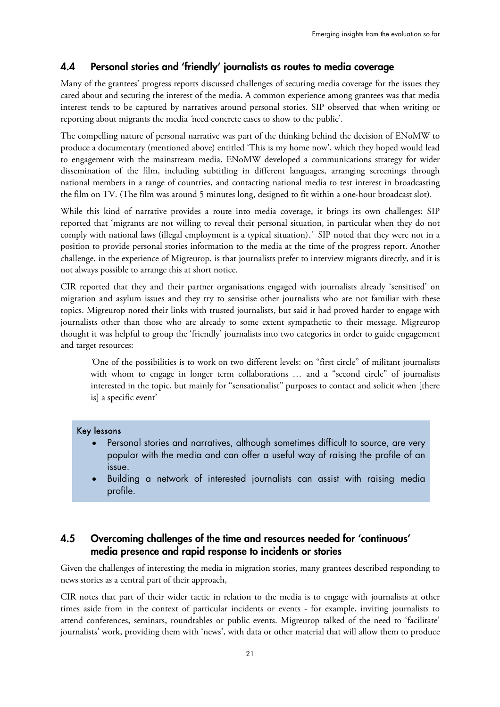# **4.4 Personal stories and 'friendly' journalists as routes to media coverage**

Many of the grantees' progress reports discussed challenges of securing media coverage for the issues they cared about and securing the interest of the media. A common experience among grantees was that media interest tends to be captured by narratives around personal stories. SIP observed that when writing or reporting about migrants the media *'*need concrete cases to show to the public'*.* 

The compelling nature of personal narrative was part of the thinking behind the decision of ENoMW to produce a documentary (mentioned above) entitled 'This is my home now', which they hoped would lead to engagement with the mainstream media. ENoMW developed a communications strategy for wider dissemination of the film, including subtitling in different languages, arranging screenings through national members in a range of countries, and contacting national media to test interest in broadcasting the film on TV. (The film was around 5 minutes long, designed to fit within a one-hour broadcast slot).

While this kind of narrative provides a route into media coverage, it brings its own challenges: SIP reported that 'migrants are not willing to reveal their personal situation, in particular when they do not comply with national laws (illegal employment is a typical situation).*'* SIP noted that they were not in a position to provide personal stories information to the media at the time of the progress report. Another challenge, in the experience of Migreurop, is that journalists prefer to interview migrants directly, and it is not always possible to arrange this at short notice.

CIR reported that they and their partner organisations engaged with journalists already 'sensitised' on migration and asylum issues and they try to sensitise other journalists who are not familiar with these topics. Migreurop noted their links with trusted journalists, but said it had proved harder to engage with journalists other than those who are already to some extent sympathetic to their message. Migreurop thought it was helpful to group the 'friendly' journalists into two categories in order to guide engagement and target resources:

*'*One of the possibilities is to work on two different levels: on "first circle" of militant journalists with whom to engage in longer term collaborations … and a "second circle" of journalists interested in the topic, but mainly for "sensationalist" purposes to contact and solicit when [there is] a specific event'

#### Key lessons

- Personal stories and narratives, although sometimes difficult to source, are very popular with the media and can offer a useful way of raising the profile of an issue.
- Building a network of interested journalists can assist with raising media profile.

# **4.5 Overcoming challenges of the time and resources needed for 'continuous' media presence and rapid response to incidents or stories**

Given the challenges of interesting the media in migration stories, many grantees described responding to news stories as a central part of their approach,

CIR notes that part of their wider tactic in relation to the media is to engage with journalists at other times aside from in the context of particular incidents or events - for example, inviting journalists to attend conferences, seminars, roundtables or public events. Migreurop talked of the need to 'facilitate' journalists' work, providing them with 'news', with data or other material that will allow them to produce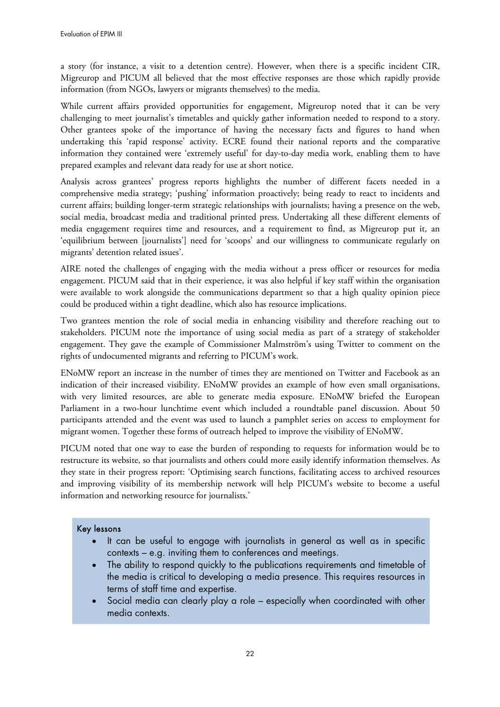a story (for instance, a visit to a detention centre). However, when there is a specific incident CIR, Migreurop and PICUM all believed that the most effective responses are those which rapidly provide information (from NGOs, lawyers or migrants themselves) to the media.

While current affairs provided opportunities for engagement, Migreurop noted that it can be very challenging to meet journalist's timetables and quickly gather information needed to respond to a story. Other grantees spoke of the importance of having the necessary facts and figures to hand when undertaking this 'rapid response' activity. ECRE found their national reports and the comparative information they contained were 'extremely useful' for day-to-day media work, enabling them to have prepared examples and relevant data ready for use at short notice.

Analysis across grantees' progress reports highlights the number of different facets needed in a comprehensive media strategy; 'pushing' information proactively; being ready to react to incidents and current affairs; building longer-term strategic relationships with journalists; having a presence on the web, social media, broadcast media and traditional printed press. Undertaking all these different elements of media engagement requires time and resources, and a requirement to find, as Migreurop put it, an 'equilibrium between [journalists'] need for 'scoops' and our willingness to communicate regularly on migrants' detention related issues'.

AIRE noted the challenges of engaging with the media without a press officer or resources for media engagement. PICUM said that in their experience, it was also helpful if key staff within the organisation were available to work alongside the communications department so that a high quality opinion piece could be produced within a tight deadline, which also has resource implications.

Two grantees mention the role of social media in enhancing visibility and therefore reaching out to stakeholders. PICUM note the importance of using social media as part of a strategy of stakeholder engagement. They gave the example of Commissioner Malmström's using Twitter to comment on the rights of undocumented migrants and referring to PICUM's work.

ENoMW report an increase in the number of times they are mentioned on Twitter and Facebook as an indication of their increased visibility. ENoMW provides an example of how even small organisations, with very limited resources, are able to generate media exposure. ENoMW briefed the European Parliament in a two-hour lunchtime event which included a roundtable panel discussion. About 50 participants attended and the event was used to launch a pamphlet series on access to employment for migrant women. Together these forms of outreach helped to improve the visibility of ENoMW.

PICUM noted that one way to ease the burden of responding to requests for information would be to restructure its website, so that journalists and others could more easily identify information themselves. As they state in their progress report: 'Optimising search functions, facilitating access to archived resources and improving visibility of its membership network will help PICUM's website to become a useful information and networking resource for journalists.'

#### Key lessons

- It can be useful to engage with journalists in general as well as in specific contexts – e.g. inviting them to conferences and meetings.
- The ability to respond quickly to the publications requirements and timetable of the media is critical to developing a media presence. This requires resources in terms of staff time and expertise.
- Social media can clearly play a role especially when coordinated with other media contexts.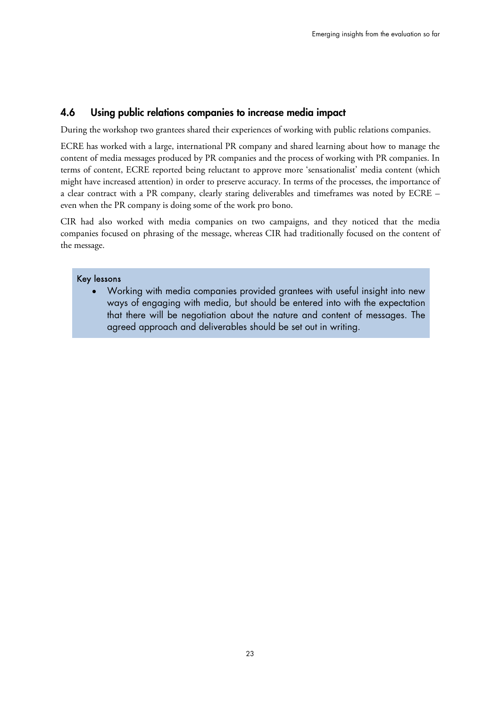## **4.6 Using public relations companies to increase media impact**

During the workshop two grantees shared their experiences of working with public relations companies.

ECRE has worked with a large, international PR company and shared learning about how to manage the content of media messages produced by PR companies and the process of working with PR companies. In terms of content, ECRE reported being reluctant to approve more 'sensationalist' media content (which might have increased attention) in order to preserve accuracy. In terms of the processes, the importance of a clear contract with a PR company, clearly staring deliverables and timeframes was noted by ECRE – even when the PR company is doing some of the work pro bono.

CIR had also worked with media companies on two campaigns, and they noticed that the media companies focused on phrasing of the message, whereas CIR had traditionally focused on the content of the message.

#### Key lessons

 Working with media companies provided grantees with useful insight into new ways of engaging with media, but should be entered into with the expectation that there will be negotiation about the nature and content of messages. The agreed approach and deliverables should be set out in writing.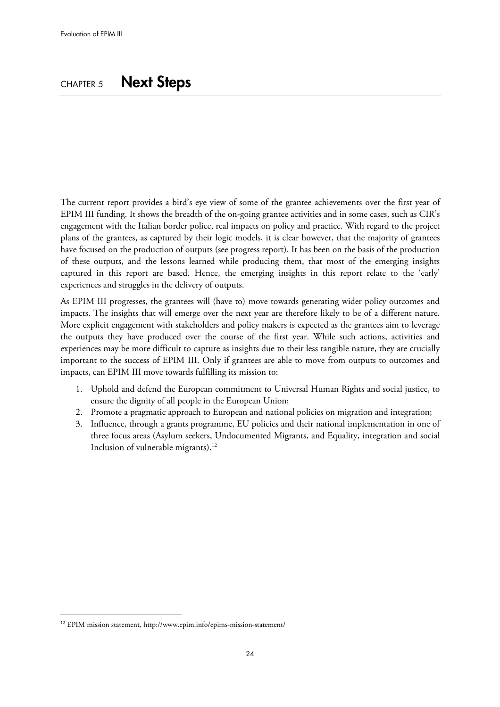# CHAPTER 5 **Next Steps**

The current report provides a bird's eye view of some of the grantee achievements over the first year of EPIM III funding. It shows the breadth of the on-going grantee activities and in some cases, such as CIR's engagement with the Italian border police, real impacts on policy and practice. With regard to the project plans of the grantees, as captured by their logic models, it is clear however, that the majority of grantees have focused on the production of outputs (see progress report). It has been on the basis of the production of these outputs, and the lessons learned while producing them, that most of the emerging insights captured in this report are based. Hence, the emerging insights in this report relate to the 'early' experiences and struggles in the delivery of outputs.

As EPIM III progresses, the grantees will (have to) move towards generating wider policy outcomes and impacts. The insights that will emerge over the next year are therefore likely to be of a different nature. More explicit engagement with stakeholders and policy makers is expected as the grantees aim to leverage the outputs they have produced over the course of the first year. While such actions, activities and experiences may be more difficult to capture as insights due to their less tangible nature, they are crucially important to the success of EPIM III. Only if grantees are able to move from outputs to outcomes and impacts, can EPIM III move towards fulfilling its mission to:

- 1. Uphold and defend the European commitment to Universal Human Rights and social justice, to ensure the dignity of all people in the European Union;
- 2. Promote a pragmatic approach to European and national policies on migration and integration;
- 3. Influence, through a grants programme, EU policies and their national implementation in one of three focus areas (Asylum seekers, Undocumented Migrants, and Equality, integration and social Inclusion of vulnerable migrants).<sup>12</sup>

 $\ddot{\phantom{a}}$ 

<sup>12</sup> EPIM mission statement, <http://www.epim.info/epims-mission-statement/>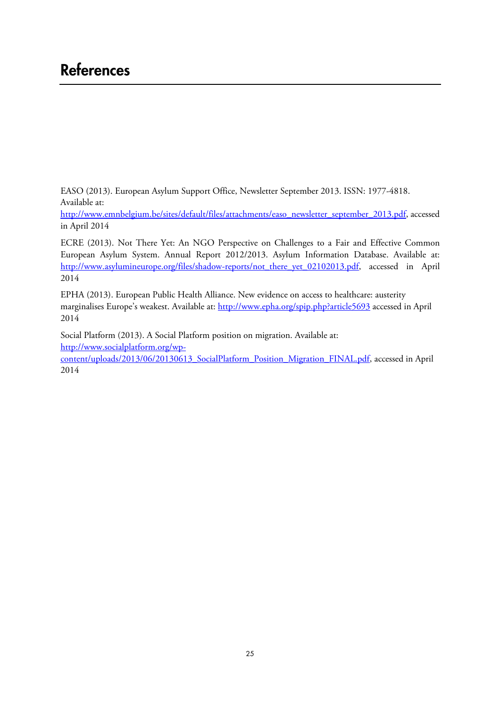# **References**

EASO (2013). European Asylum Support Office, Newsletter September 2013. ISSN: 1977-4818. Available at:

[http://www.emnbelgium.be/sites/default/files/attachments/easo\\_newsletter\\_september\\_2013.pdf,](http://www.emnbelgium.be/sites/default/files/attachments/easo_newsletter_september_2013.pdf) accessed in April 2014

ECRE (2013). Not There Yet: An NGO Perspective on Challenges to a Fair and Effective Common European Asylum System. Annual Report 2012/2013. Asylum Information Database. Available at: [http://www.asylumineurope.org/files/shadow-reports/not\\_there\\_yet\\_02102013.pdf,](http://www.asylumineurope.org/files/shadow-reports/not_there_yet_02102013.pdf) accessed in April 2014

EPHA (2013). European Public Health Alliance. New evidence on access to healthcare: austerity marginalises Europe's weakest. Available at:<http://www.epha.org/spip.php?article5693>accessed in April 2014

Social Platform (2013). A Social Platform position on migration. Available at: http://www.socialplatform.org/wp[content/uploads/2013/06/20130613\\_SocialPlatform\\_Position\\_Migration\\_FINAL.pdf,](http://www.socialplatform.org/wp-content/uploads/2013/06/20130613_SocialPlatform_Position_Migration_FINAL.pdf) accessed in April 2014